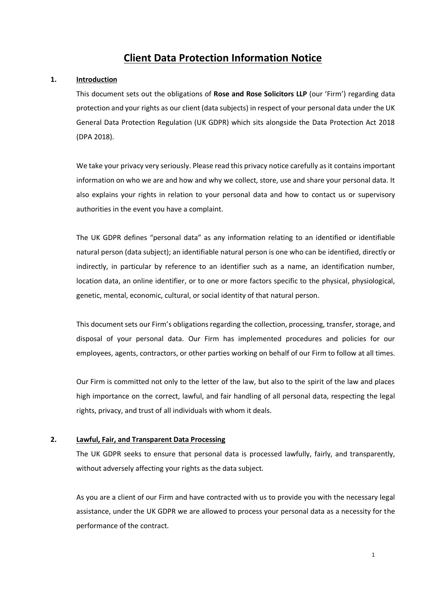# **Client Data Protection Information Notice**

### **1. Introduction**

This document sets out the obligations of **Rose and Rose Solicitors LLP** (our 'Firm') regarding data protection and your rights as our client (data subjects) in respect of your personal data under the UK General Data Protection Regulation (UK GDPR) which sits alongside the Data Protection Act 2018 (DPA 2018).

We take your privacy very seriously. Please read this privacy notice carefully as it contains important information on who we are and how and why we collect, store, use and share your personal data. It also explains your rights in relation to your personal data and how to contact us or supervisory authorities in the event you have a complaint.

The UK GDPR defines "personal data" as any information relating to an identified or identifiable natural person (data subject); an identifiable natural person is one who can be identified, directly or indirectly, in particular by reference to an identifier such as a name, an identification number, location data, an online identifier, or to one or more factors specific to the physical, physiological, genetic, mental, economic, cultural, or social identity of that natural person.

This document sets our Firm's obligations regarding the collection, processing, transfer, storage, and disposal of your personal data. Our Firm has implemented procedures and policies for our employees, agents, contractors, or other parties working on behalf of our Firm to follow at all times.

Our Firm is committed not only to the letter of the law, but also to the spirit of the law and places high importance on the correct, lawful, and fair handling of all personal data, respecting the legal rights, privacy, and trust of all individuals with whom it deals.

### **2. Lawful, Fair, and Transparent Data Processing**

The UK GDPR seeks to ensure that personal data is processed lawfully, fairly, and transparently, without adversely affecting your rights as the data subject.

As you are a client of our Firm and have contracted with us to provide you with the necessary legal assistance, under the UK GDPR we are allowed to process your personal data as a necessity for the performance of the contract.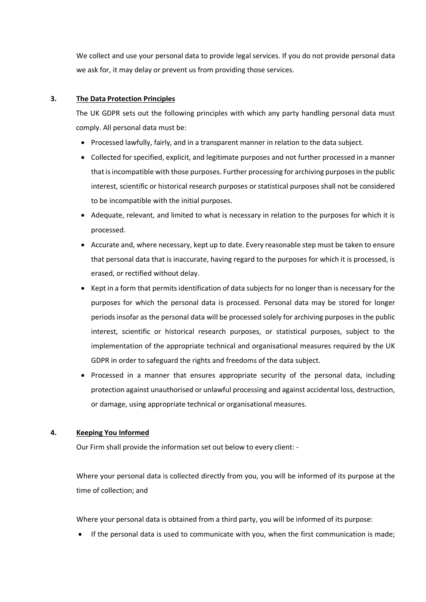We collect and use your personal data to provide legal services. If you do not provide personal data we ask for, it may delay or prevent us from providing those services.

### **3. The Data Protection Principles**

The UK GDPR sets out the following principles with which any party handling personal data must comply. All personal data must be:

- Processed lawfully, fairly, and in a transparent manner in relation to the data subject.
- Collected for specified, explicit, and legitimate purposes and not further processed in a manner that is incompatible with those purposes. Further processing for archiving purposes in the public interest, scientific or historical research purposes or statistical purposes shall not be considered to be incompatible with the initial purposes.
- Adequate, relevant, and limited to what is necessary in relation to the purposes for which it is processed.
- Accurate and, where necessary, kept up to date. Every reasonable step must be taken to ensure that personal data that is inaccurate, having regard to the purposes for which it is processed, is erased, or rectified without delay.
- Kept in a form that permits identification of data subjects for no longer than is necessary for the purposes for which the personal data is processed. Personal data may be stored for longer periods insofar as the personal data will be processed solely for archiving purposes in the public interest, scientific or historical research purposes, or statistical purposes, subject to the implementation of the appropriate technical and organisational measures required by the UK GDPR in order to safeguard the rights and freedoms of the data subject.
- Processed in a manner that ensures appropriate security of the personal data, including protection against unauthorised or unlawful processing and against accidental loss, destruction, or damage, using appropriate technical or organisational measures.

# **4. Keeping You Informed**

Our Firm shall provide the information set out below to every client: -

Where your personal data is collected directly from you, you will be informed of its purpose at the time of collection; and

Where your personal data is obtained from a third party, you will be informed of its purpose:

• If the personal data is used to communicate with you, when the first communication is made;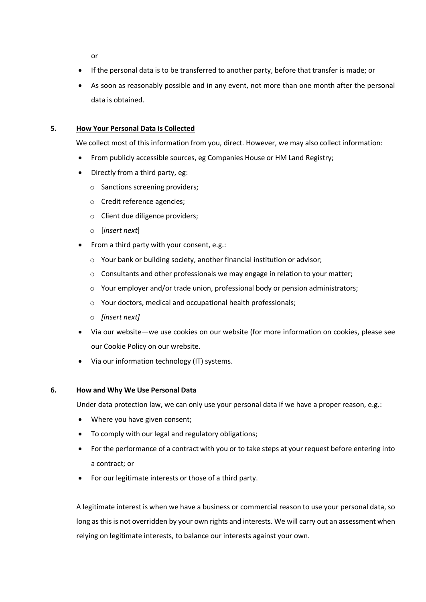or

- If the personal data is to be transferred to another party, before that transfer is made; or
- As soon as reasonably possible and in any event, not more than one month after the personal data is obtained.

### **5. How Your Personal Data Is Collected**

We collect most of this information from you, direct. However, we may also collect information:

- From publicly accessible sources, eg Companies House or HM Land Registry;
- Directly from a third party, eg:
	- o Sanctions screening providers;
	- o Credit reference agencies;
	- o Client due diligence providers;
	- o [*insert next*]
- From a third party with your consent, e.g.:
	- o Your bank or building society, another financial institution or advisor;
	- o Consultants and other professionals we may engage in relation to your matter;
	- o Your employer and/or trade union, professional body or pension administrators;
	- o Your doctors, medical and occupational health professionals;
	- o *[insert next]*
- Via our website—we use cookies on our website (for more information on cookies, please see our Cookie Policy on our wrebsite.
- Via our information technology (IT) systems.

### **6. How and Why We Use Personal Data**

Under data protection law, we can only use your personal data if we have a proper reason, e.g.:

- Where you have given consent;
- To comply with our legal and regulatory obligations;
- For the performance of a contract with you or to take steps at your request before entering into a contract; or
- For our legitimate interests or those of a third party.

A legitimate interest is when we have a business or commercial reason to use your personal data, so long as this is not overridden by your own rights and interests. We will carry out an assessment when relying on legitimate interests, to balance our interests against your own.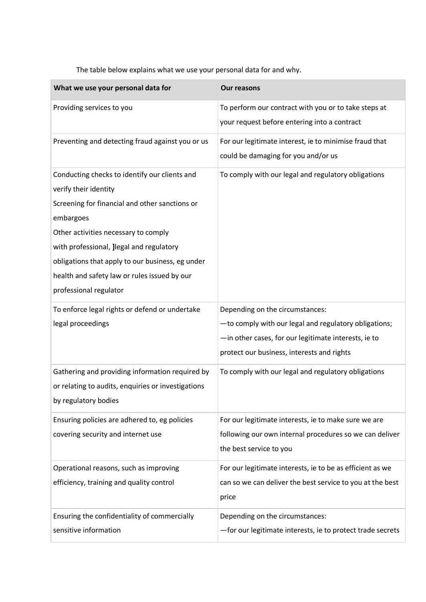The table below explains what we use your personal data for and why.

| What we use your personal data for                                                                                                                                                                                                                                                                                                                      | <b>Our reasons</b>                                                                                                                                                                             |
|---------------------------------------------------------------------------------------------------------------------------------------------------------------------------------------------------------------------------------------------------------------------------------------------------------------------------------------------------------|------------------------------------------------------------------------------------------------------------------------------------------------------------------------------------------------|
| Providing services to you                                                                                                                                                                                                                                                                                                                               | To perform our contract with you or to take steps at<br>your request before entering into a contract                                                                                           |
| Preventing and detecting fraud against you or us                                                                                                                                                                                                                                                                                                        | For our legitimate interest, ie to minimise fraud that<br>could be damaging for you and/or us                                                                                                  |
| Conducting checks to identify our clients and<br>verify their identity<br>Screening for financial and other sanctions or<br>embargoes<br>Other activities necessary to comply<br>with professional, Jlegal and regulatory<br>obligations that apply to our business, eg under<br>health and safety law or rules issued by our<br>professional regulator | To comply with our legal and regulatory obligations                                                                                                                                            |
| To enforce legal rights or defend or undertake<br>legal proceedings                                                                                                                                                                                                                                                                                     | Depending on the circumstances:<br>-to comply with our legal and regulatory obligations;<br>-in other cases, for our legitimate interests, ie to<br>protect our business, interests and rights |
| Gathering and providing information required by<br>or relating to audits, enquiries or investigations<br>by regulatory bodies                                                                                                                                                                                                                           | To comply with our legal and regulatory obligations                                                                                                                                            |
| Ensuring policies are adhered to, eg policies<br>covering security and internet use                                                                                                                                                                                                                                                                     | For our legitimate interests, ie to make sure we are<br>following our own internal procedures so we can deliver<br>the best service to you                                                     |
| Operational reasons, such as improving<br>efficiency, training and quality control                                                                                                                                                                                                                                                                      | For our legitimate interests, ie to be as efficient as we<br>can so we can deliver the best service to you at the best<br>price                                                                |
| Ensuring the confidentiality of commercially<br>sensitive information                                                                                                                                                                                                                                                                                   | Depending on the circumstances:<br>-for our legitimate interests, ie to protect trade secrets                                                                                                  |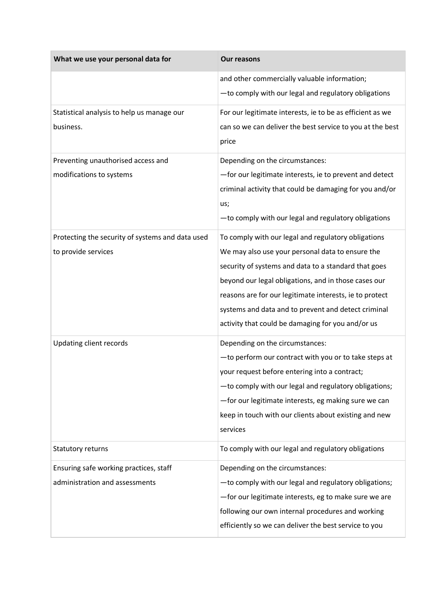| What we use your personal data for               | <b>Our reasons</b>                                        |
|--------------------------------------------------|-----------------------------------------------------------|
|                                                  | and other commercially valuable information;              |
|                                                  | -to comply with our legal and regulatory obligations      |
| Statistical analysis to help us manage our       | For our legitimate interests, ie to be as efficient as we |
| business.                                        | can so we can deliver the best service to you at the best |
|                                                  | price                                                     |
| Preventing unauthorised access and               | Depending on the circumstances:                           |
| modifications to systems                         | -for our legitimate interests, ie to prevent and detect   |
|                                                  | criminal activity that could be damaging for you and/or   |
|                                                  | us;                                                       |
|                                                  | -to comply with our legal and regulatory obligations      |
| Protecting the security of systems and data used | To comply with our legal and regulatory obligations       |
| to provide services                              | We may also use your personal data to ensure the          |
|                                                  | security of systems and data to a standard that goes      |
|                                                  | beyond our legal obligations, and in those cases our      |
|                                                  | reasons are for our legitimate interests, ie to protect   |
|                                                  | systems and data and to prevent and detect criminal       |
|                                                  | activity that could be damaging for you and/or us         |
| Updating client records                          | Depending on the circumstances:                           |
|                                                  | -to perform our contract with you or to take steps at     |
|                                                  | your request before entering into a contract;             |
|                                                  | -to comply with our legal and regulatory obligations;     |
|                                                  | -for our legitimate interests, eg making sure we can      |
|                                                  | keep in touch with our clients about existing and new     |
|                                                  | services                                                  |
| Statutory returns                                | To comply with our legal and regulatory obligations       |
| Ensuring safe working practices, staff           | Depending on the circumstances:                           |
| administration and assessments                   | -to comply with our legal and regulatory obligations;     |
|                                                  | -for our legitimate interests, eg to make sure we are     |
|                                                  | following our own internal procedures and working         |
|                                                  | efficiently so we can deliver the best service to you     |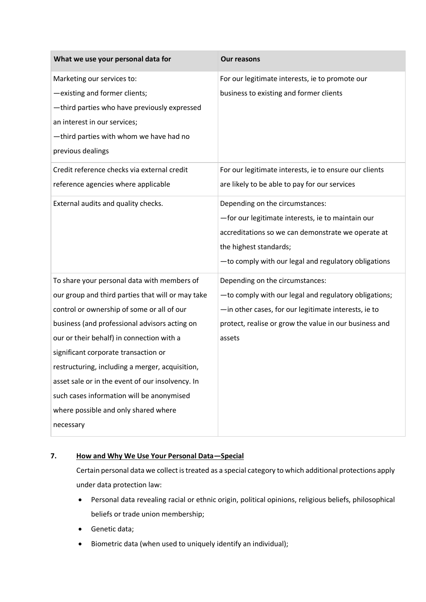| What we use your personal data for                                                                                                                                                                                                                                                                                                                                                                                                                                                            | <b>Our reasons</b>                                                                                                                                                                                                                                                                                                                      |
|-----------------------------------------------------------------------------------------------------------------------------------------------------------------------------------------------------------------------------------------------------------------------------------------------------------------------------------------------------------------------------------------------------------------------------------------------------------------------------------------------|-----------------------------------------------------------------------------------------------------------------------------------------------------------------------------------------------------------------------------------------------------------------------------------------------------------------------------------------|
| Marketing our services to:<br>-existing and former clients;<br>-third parties who have previously expressed<br>an interest in our services;<br>-third parties with whom we have had no<br>previous dealings                                                                                                                                                                                                                                                                                   | For our legitimate interests, ie to promote our<br>business to existing and former clients                                                                                                                                                                                                                                              |
| Credit reference checks via external credit<br>reference agencies where applicable<br>External audits and quality checks.                                                                                                                                                                                                                                                                                                                                                                     | For our legitimate interests, ie to ensure our clients<br>are likely to be able to pay for our services<br>Depending on the circumstances:<br>-for our legitimate interests, ie to maintain our<br>accreditations so we can demonstrate we operate at<br>the highest standards;<br>-to comply with our legal and regulatory obligations |
| To share your personal data with members of<br>our group and third parties that will or may take<br>control or ownership of some or all of our<br>business (and professional advisors acting on<br>our or their behalf) in connection with a<br>significant corporate transaction or<br>restructuring, including a merger, acquisition,<br>asset sale or in the event of our insolvency. In<br>such cases information will be anonymised<br>where possible and only shared where<br>necessary | Depending on the circumstances:<br>-to comply with our legal and regulatory obligations;<br>-in other cases, for our legitimate interests, ie to<br>protect, realise or grow the value in our business and<br>assets                                                                                                                    |

# **7. How and Why We Use Your Personal Data—Special**

Certain personal data we collect is treated as a special category to which additional protections apply under data protection law:

- Personal data revealing racial or ethnic origin, political opinions, religious beliefs, philosophical beliefs or trade union membership;
- Genetic data;
- Biometric data (when used to uniquely identify an individual);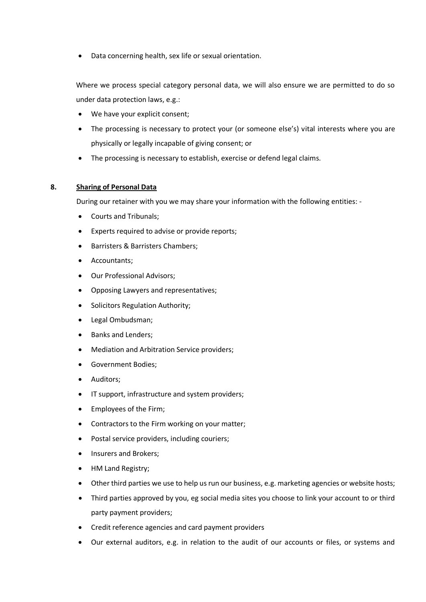• Data concerning health, sex life or sexual orientation.

Where we process special category personal data, we will also ensure we are permitted to do so under data protection laws, e.g.:

- We have your explicit consent;
- The processing is necessary to protect your (or someone else's) vital interests where you are physically or legally incapable of giving consent; or
- The processing is necessary to establish, exercise or defend legal claims.

### **8. Sharing of Personal Data**

During our retainer with you we may share your information with the following entities: -

- Courts and Tribunals;
- Experts required to advise or provide reports;
- Barristers & Barristers Chambers;
- Accountants;
- Our Professional Advisors;
- Opposing Lawyers and representatives;
- Solicitors Regulation Authority;
- Legal Ombudsman;
- Banks and Lenders;
- Mediation and Arbitration Service providers;
- Government Bodies;
- Auditors;
- IT support, infrastructure and system providers;
- Employees of the Firm;
- Contractors to the Firm working on your matter;
- Postal service providers, including couriers;
- Insurers and Brokers;
- HM Land Registry;
- Other third parties we use to help us run our business, e.g. marketing agencies or website hosts;
- Third parties approved by you, eg social media sites you choose to link your account to or third party payment providers;
- Credit reference agencies and card payment providers
- Our external auditors, e.g. in relation to the audit of our accounts or files, or systems and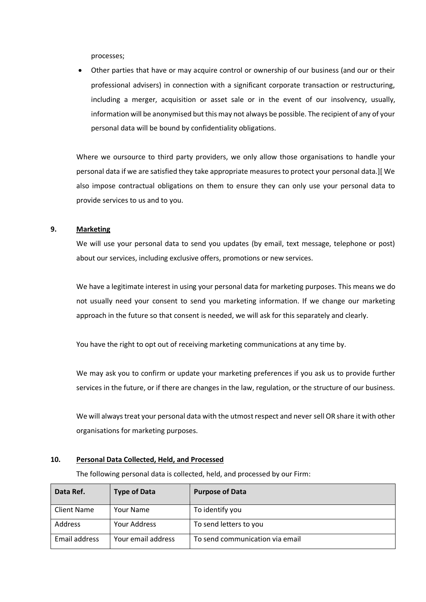processes;

• Other parties that have or may acquire control or ownership of our business (and our or their professional advisers) in connection with a significant corporate transaction or restructuring, including a merger, acquisition or asset sale or in the event of our insolvency, usually, information will be anonymised but this may not always be possible. The recipient of any of your personal data will be bound by confidentiality obligations.

Where we oursource to third party providers, we only allow those organisations to handle your personal data if we are satisfied they take appropriate measures to protect your personal data.][ We also impose contractual obligations on them to ensure they can only use your personal data to provide services to us and to you.

#### **9. Marketing**

We will use your personal data to send you updates (by email, text message, telephone or post) about our services, including exclusive offers, promotions or new services.

We have a legitimate interest in using your personal data for marketing purposes. This means we do not usually need your consent to send you marketing information. If we change our marketing approach in the future so that consent is needed, we will ask for this separately and clearly.

You have the right to opt out of receiving marketing communications at any time by.

We may ask you to confirm or update your marketing preferences if you ask us to provide further services in the future, or if there are changes in the law, regulation, or the structure of our business.

We will always treat your personal data with the utmost respect and never sell OR share it with other organisations for marketing purposes.

### **10. Personal Data Collected, Held, and Processed**

The following personal data is collected, held, and processed by our Firm:

| Data Ref.     | <b>Type of Data</b> | <b>Purpose of Data</b>          |
|---------------|---------------------|---------------------------------|
| Client Name   | Your Name           | To identify you                 |
| Address       | Your Address        | To send letters to you          |
| Email address | Your email address  | To send communication via email |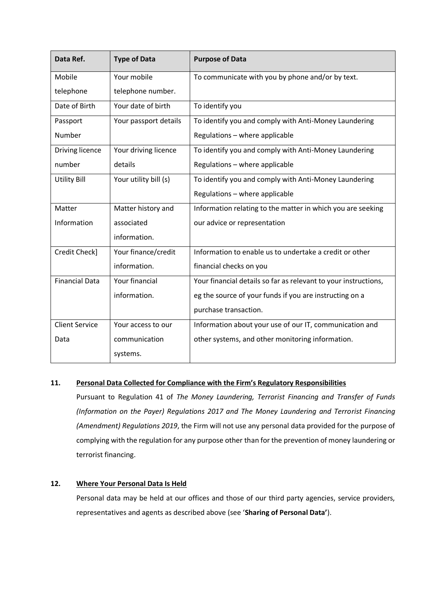| Data Ref.             | <b>Type of Data</b>   | <b>Purpose of Data</b>                                          |
|-----------------------|-----------------------|-----------------------------------------------------------------|
| Mobile                | Your mobile           | To communicate with you by phone and/or by text.                |
| telephone             | telephone number.     |                                                                 |
| Date of Birth         | Your date of birth    | To identify you                                                 |
| Passport              | Your passport details | To identify you and comply with Anti-Money Laundering           |
| Number                |                       | Regulations - where applicable                                  |
| Driving licence       | Your driving licence  | To identify you and comply with Anti-Money Laundering           |
| number                | details               | Regulations - where applicable                                  |
| <b>Utility Bill</b>   | Your utility bill (s) | To identify you and comply with Anti-Money Laundering           |
|                       |                       | Regulations - where applicable                                  |
| Matter                | Matter history and    | Information relating to the matter in which you are seeking     |
| Information           | associated            | our advice or representation                                    |
|                       | information.          |                                                                 |
| Credit Check]         | Your finance/credit   | Information to enable us to undertake a credit or other         |
|                       | information.          | financial checks on you                                         |
| <b>Financial Data</b> | Your financial        | Your financial details so far as relevant to your instructions, |
|                       | information.          | eg the source of your funds if you are instructing on a         |
|                       |                       | purchase transaction.                                           |
| <b>Client Service</b> | Your access to our    | Information about your use of our IT, communication and         |
| Data                  | communication         | other systems, and other monitoring information.                |
|                       | systems.              |                                                                 |

# **11. Personal Data Collected for Compliance with the Firm's Regulatory Responsibilities**

Pursuant to Regulation 41 of *The Money Laundering, Terrorist Financing and Transfer of Funds (Information on the Payer) Regulations 2017 and The Money Laundering and Terrorist Financing (Amendment) Regulations 2019*, the Firm will not use any personal data provided for the purpose of complying with the regulation for any purpose other than for the prevention of money laundering or terrorist financing.

# **12. Where Your Personal Data Is Held**

Personal data may be held at our offices and those of our third party agencies, service providers, representatives and agents as described above (see '**Sharing of Personal Data'**).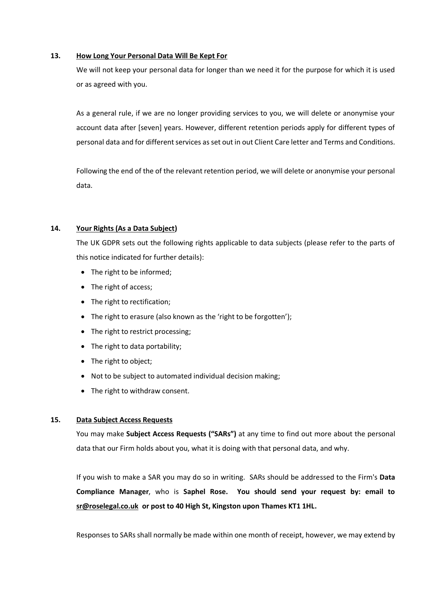### **13. How Long Your Personal Data Will Be Kept For**

We will not keep your personal data for longer than we need it for the purpose for which it is used or as agreed with you.

As a general rule, if we are no longer providing services to you, we will delete or anonymise your account data after [seven] years. However, different retention periods apply for different types of personal data and for different services as set out in out Client Care letter and Terms and Conditions.

Following the end of the of the relevant retention period, we will delete or anonymise your personal data.

# **14. Your Rights (As a Data Subject)**

The UK GDPR sets out the following rights applicable to data subjects (please refer to the parts of this notice indicated for further details):

- The right to be informed;
- The right of access;
- The right to rectification;
- The right to erasure (also known as the 'right to be forgotten');
- The right to restrict processing;
- The right to data portability;
- The right to object;
- Not to be subject to automated individual decision making;
- The right to withdraw consent.

# **15. Data Subject Access Requests**

You may make **Subject Access Requests ("SARs")** at any time to find out more about the personal data that our Firm holds about you, what it is doing with that personal data, and why.

If you wish to make a SAR you may do so in writing. SARs should be addressed to the Firm's **Data Compliance Manager**, who is **Saphel Rose. You should send your request by: email to [sr@roselegal.co.uk](mailto:sr@roselegal.co.uk) or post to 40 High St, Kingston upon Thames KT1 1HL.**

Responses to SARs shall normally be made within one month of receipt, however, we may extend by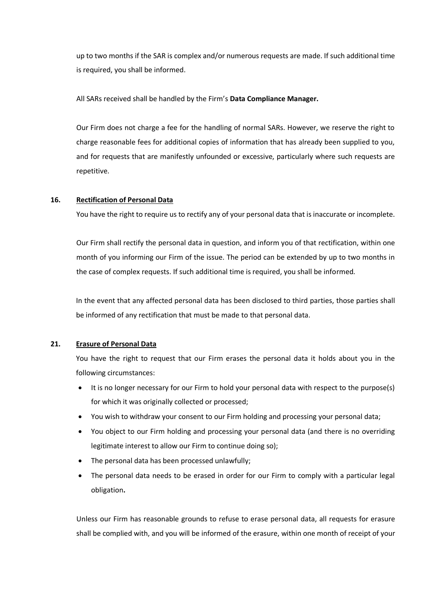up to two months if the SAR is complex and/or numerous requests are made. If such additional time is required, you shall be informed.

All SARs received shall be handled by the Firm's **Data Compliance Manager.**

Our Firm does not charge a fee for the handling of normal SARs. However, we reserve the right to charge reasonable fees for additional copies of information that has already been supplied to you, and for requests that are manifestly unfounded or excessive, particularly where such requests are repetitive.

### **16. Rectification of Personal Data**

You have the right to require us to rectify any of your personal data that is inaccurate or incomplete.

Our Firm shall rectify the personal data in question, and inform you of that rectification, within one month of you informing our Firm of the issue. The period can be extended by up to two months in the case of complex requests. If such additional time is required, you shall be informed.

In the event that any affected personal data has been disclosed to third parties, those parties shall be informed of any rectification that must be made to that personal data.

### **21. Erasure of Personal Data**

You have the right to request that our Firm erases the personal data it holds about you in the following circumstances:

- It is no longer necessary for our Firm to hold your personal data with respect to the purpose(s) for which it was originally collected or processed;
- You wish to withdraw your consent to our Firm holding and processing your personal data;
- You object to our Firm holding and processing your personal data (and there is no overriding legitimate interest to allow our Firm to continue doing so);
- The personal data has been processed unlawfully;
- The personal data needs to be erased in order for our Firm to comply with a particular legal obligation**.**

Unless our Firm has reasonable grounds to refuse to erase personal data, all requests for erasure shall be complied with, and you will be informed of the erasure, within one month of receipt of your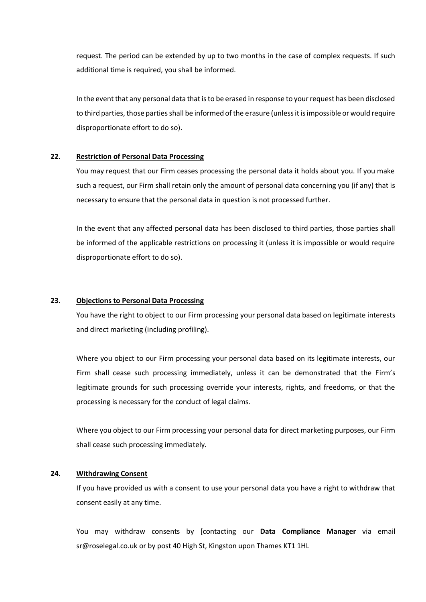request. The period can be extended by up to two months in the case of complex requests. If such additional time is required, you shall be informed.

In the event that any personal data that is to be erased in response to your request has been disclosed to third parties, those parties shall be informed of the erasure (unless it is impossible or would require disproportionate effort to do so).

#### **22. Restriction of Personal Data Processing**

You may request that our Firm ceases processing the personal data it holds about you. If you make such a request, our Firm shall retain only the amount of personal data concerning you (if any) that is necessary to ensure that the personal data in question is not processed further.

In the event that any affected personal data has been disclosed to third parties, those parties shall be informed of the applicable restrictions on processing it (unless it is impossible or would require disproportionate effort to do so).

### **23. Objections to Personal Data Processing**

You have the right to object to our Firm processing your personal data based on legitimate interests and direct marketing (including profiling).

Where you object to our Firm processing your personal data based on its legitimate interests, our Firm shall cease such processing immediately, unless it can be demonstrated that the Firm's legitimate grounds for such processing override your interests, rights, and freedoms, or that the processing is necessary for the conduct of legal claims.

Where you object to our Firm processing your personal data for direct marketing purposes, our Firm shall cease such processing immediately.

#### **24. Withdrawing Consent**

If you have provided us with a consent to use your personal data you have a right to withdraw that consent easily at any time.

You may withdraw consents by [contacting our **Data Compliance Manager** via email sr@roselegal.co.uk or by post 40 High St, Kingston upon Thames KT1 1HL